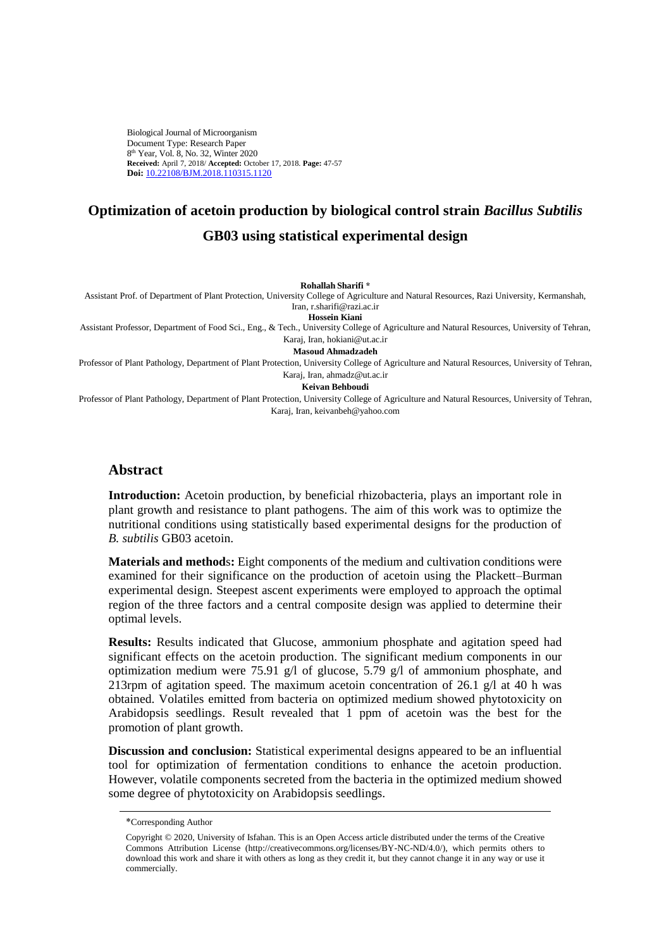Biological Journal of Microorganism Document Type: Research Paper 8 th Year, Vol. 8, No. 32, Winter 2020 **Received:** April 7, 2018/ **Accepted:** October 17, 2018. **Page:** 47-57 **Doi:** [10.22108/BJM.2018.110315.1120](https://bjm.ui.ac.ir/article_23011.html)

# **Optimization of acetoin production by biological control strain** *Bacillus Subtilis* **GB03 using statistical experimental design**

**Rohallah Sharifi \***

Assistant Prof. of Department of Plant Protection, University College of Agriculture and Natural Resources, Razi University, Kermanshah, Iran, r.sharifi@razi.ac.ir

**Hossein Kiani** 

Assistant Professor, Department of Food Sci., Eng., & Tech., University College of Agriculture and Natural Resources, University of Tehran, Karaj, Iran, hokiani@ut.ac.ir

**Masoud Ahmadzadeh** 

Professor of Plant Pathology, Department of Plant Protection, University College of Agriculture and Natural Resources, University of Tehran, Karaj, Iran, ahmadz@ut.ac.ir

**Keivan Behboudi** 

Professor of Plant Pathology, Department of Plant Protection, University College of Agriculture and Natural Resources, University of Tehran, Karaj, Iran, keivanbeh@yahoo.com

### **Abstract**

**Introduction:** Acetoin production, by beneficial rhizobacteria, plays an important role in plant growth and resistance to plant pathogens. The aim of this work was to optimize the nutritional conditions using statistically based experimental designs for the production of *B. subtilis* GB03 acetoin.

**Materials and method**s**:** Eight components of the medium and cultivation conditions were examined for their significance on the production of acetoin using the Plackett–Burman experimental design. Steepest ascent experiments were employed to approach the optimal region of the three factors and a central composite design was applied to determine their optimal levels.

**Results:** Results indicated that Glucose, ammonium phosphate and agitation speed had significant effects on the acetoin production. The significant medium components in our optimization medium were 75.91 g/l of glucose, 5.79 g/l of ammonium phosphate, and 213rpm of agitation speed. The maximum acetoin concentration of 26.1  $\alpha$ /l at 40 h was obtained. Volatiles emitted from bacteria on optimized medium showed phytotoxicity on Arabidopsis seedlings. Result revealed that 1 ppm of acetoin was the best for the promotion of plant growth.

**Discussion and conclusion:** Statistical experimental designs appeared to be an influential tool for optimization of fermentation conditions to enhance the acetoin production. However, volatile components secreted from the bacteria in the optimized medium showed some degree of phytotoxicity on Arabidopsis seedlings.

<sup>\*</sup>Corresponding Author

Copyright © 2020, University of Isfahan. This is an Open Access article distributed under the terms of the Creative Commons Attribution License (http://creativecommons.org/licenses/BY-NC-ND/4.0/), which permits others to download this work and share it with others as long as they credit it, but they cannot change it in any way or use it commercially.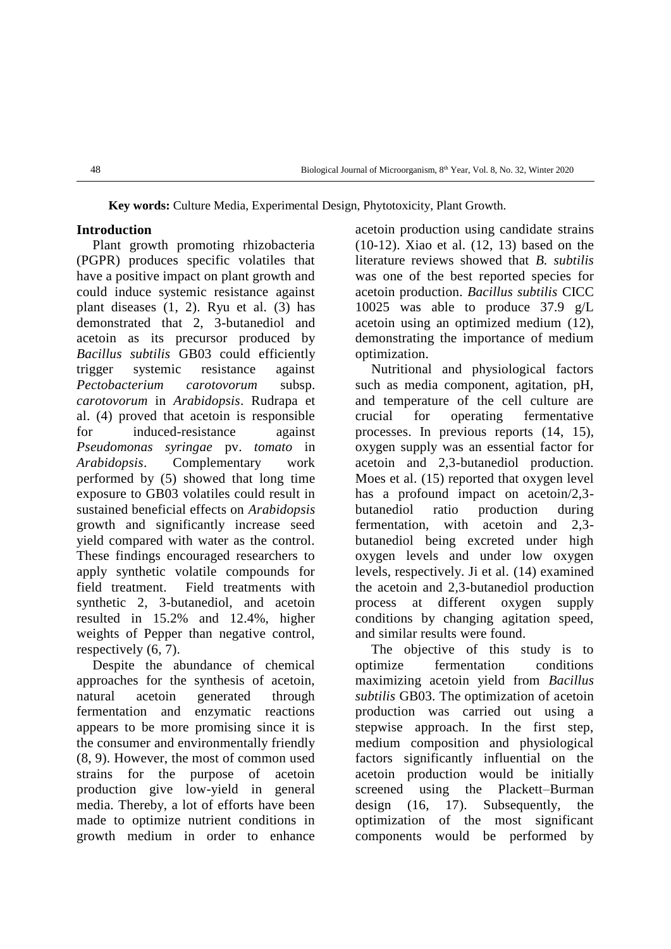**Key words:** Culture Media, Experimental Design, Phytotoxicity, Plant Growth.

## **Introduction**

Plant growth promoting rhizobacteria (PGPR) produces specific volatiles that have a positive impact on plant growth and could induce systemic resistance against plant diseases [\(1,](file:///D:/University/Safhe%20araei/Microorganism/60/BJM-1804-1120%20ویراستاری%20شده%20(1).docx%23_ENREF_1) [2\)](file:///D:/University/Safhe%20araei/Microorganism/60/BJM-1804-1120%20ویراستاری%20شده%20(1).docx%23_ENREF_2). Ryu et al. [\(3\)](file:///D:/University/Safhe%20araei/Microorganism/60/BJM-1804-1120%20ویراستاری%20شده%20(1).docx%23_ENREF_3) has demonstrated that 2, 3-butanediol and acetoin as its precursor produced by *Bacillus subtilis* GB03 could efficiently trigger systemic resistance against *Pectobacterium carotovorum* subsp. *carotovorum* in *Arabidopsis*. Rudrapa et al. [\(4\)](file:///D:/University/Safhe%20araei/Microorganism/60/BJM-1804-1120%20ویراستاری%20شده%20(1).docx%23_ENREF_4) proved that acetoin is responsible for induced-resistance against *Pseudomonas syringae* pv. *tomato* in *Arabidopsis*. Complementary work performed by [\(5\)](file:///D:/University/Safhe%20araei/Microorganism/60/BJM-1804-1120%20ویراستاری%20شده%20(1).docx%23_ENREF_5) showed that long time exposure to GB03 volatiles could result in sustained beneficial effects on *Arabidopsis* growth and significantly increase seed yield compared with water as the control. These findings encouraged researchers to apply synthetic volatile compounds for field treatment. Field treatments with synthetic 2, 3-butanediol, and acetoin resulted in 15.2% and 12.4%, higher weights of Pepper than negative control, respectively [\(6,](file:///D:/University/Safhe%20araei/Microorganism/60/BJM-1804-1120%20ویراستاری%20شده%20(1).docx%23_ENREF_6) [7\)](file:///D:/University/Safhe%20araei/Microorganism/60/BJM-1804-1120%20ویراستاری%20شده%20(1).docx%23_ENREF_7).

Despite the abundance of chemical approaches for the synthesis of acetoin, natural acetoin generated through fermentation and enzymatic reactions appears to be more promising since it is the consumer and environmentally friendly [\(8,](file:///D:/University/Safhe%20araei/Microorganism/60/BJM-1804-1120%20ویراستاری%20شده%20(1).docx%23_ENREF_8) [9\)](file:///D:/University/Safhe%20araei/Microorganism/60/BJM-1804-1120%20ویراستاری%20شده%20(1).docx%23_ENREF_9). However, the most of common used strains for the purpose of acetoin production give low-yield in general media. Thereby, a lot of efforts have been made to optimize nutrient conditions in growth medium in order to enhance

acetoin production using candidate strains [\(10-12\)](file:///D:/University/Safhe%20araei/Microorganism/60/BJM-1804-1120%20ویراستاری%20شده%20(1).docx%23_ENREF_10). Xiao et al. [\(12,](file:///D:/University/Safhe%20araei/Microorganism/60/BJM-1804-1120%20ویراستاری%20شده%20(1).docx%23_ENREF_12) [13\)](file:///D:/University/Safhe%20araei/Microorganism/60/BJM-1804-1120%20ویراستاری%20شده%20(1).docx%23_ENREF_13) based on the literature reviews showed that *B. subtilis* was one of the best reported species for acetoin production. *Bacillus subtilis* CICC 10025 was able to produce 37.9 g/L acetoin using an optimized medium [\(12\)](file:///D:/University/Safhe%20araei/Microorganism/60/BJM-1804-1120%20ویراستاری%20شده%20(1).docx%23_ENREF_12), demonstrating the importance of medium optimization.

Nutritional and physiological factors such as media component, agitation, pH, and temperature of the cell culture are crucial for operating fermentative processes. In previous reports [\(14,](file:///D:/University/Safhe%20araei/Microorganism/60/BJM-1804-1120%20ویراستاری%20شده%20(1).docx%23_ENREF_14) [15\)](file:///D:/University/Safhe%20araei/Microorganism/60/BJM-1804-1120%20ویراستاری%20شده%20(1).docx%23_ENREF_15), oxygen supply was an essential factor for acetoin and 2,3-butanediol production. Moes et al. [\(15\)](file:///D:/University/Safhe%20araei/Microorganism/60/BJM-1804-1120%20ویراستاری%20شده%20(1).docx%23_ENREF_15) reported that oxygen level has a profound impact on acetoin/2,3butanediol ratio production during fermentation, with acetoin and 2,3 butanediol being excreted under high oxygen levels and under low oxygen levels, respectively. Ji et al. [\(14\)](file:///D:/University/Safhe%20araei/Microorganism/60/BJM-1804-1120%20ویراستاری%20شده%20(1).docx%23_ENREF_14) examined the acetoin and 2,3-butanediol production process at different oxygen supply conditions by changing agitation speed, and similar results were found.

The objective of this study is to optimize fermentation conditions maximizing acetoin yield from *Bacillus subtilis* GB03. The optimization of acetoin production was carried out using a stepwise approach. In the first step, medium composition and physiological factors significantly influential on the acetoin production would be initially screened using the Plackett–Burman design [\(16,](file:///D:/University/Safhe%20araei/Microorganism/60/BJM-1804-1120%20ویراستاری%20شده%20(1).docx%23_ENREF_16) [17\)](file:///D:/University/Safhe%20araei/Microorganism/60/BJM-1804-1120%20ویراستاری%20شده%20(1).docx%23_ENREF_17). Subsequently, the optimization of the most significant components would be performed by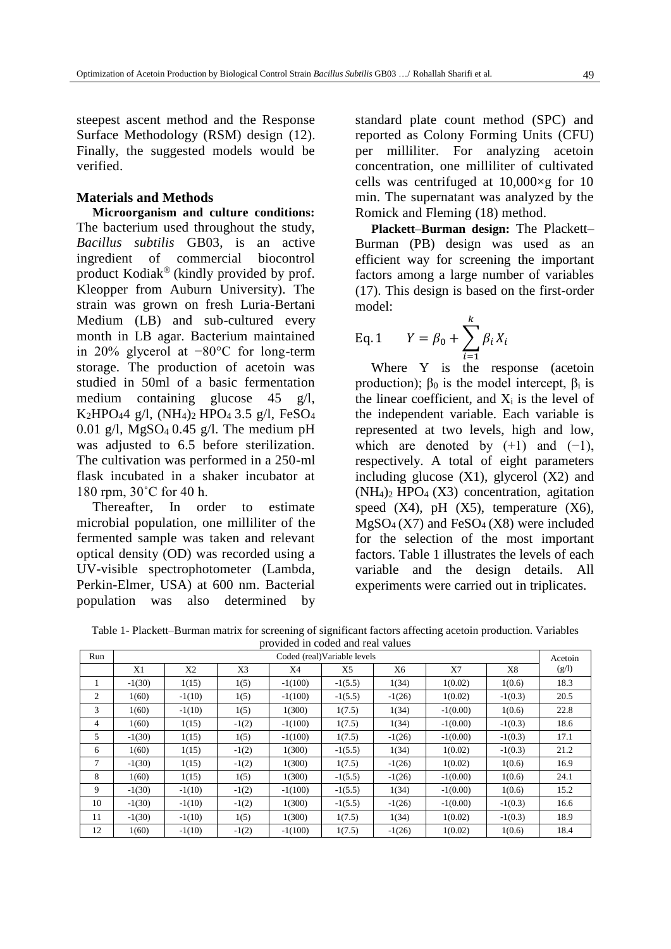steepest ascent method and the Response Surface Methodology (RSM) design [\(12\)](file:///D:/University/Safhe%20araei/Microorganism/60/BJM-1804-1120%20ویراستاری%20شده%20(1).docx%23_ENREF_12). Finally, the suggested models would be verified.

#### **Materials and Methods**

**Microorganism and culture conditions:**  The bacterium used throughout the study, *Bacillus subtilis* GB03, is an active ingredient of commercial biocontrol product Kodiak® (kindly provided by prof. Kleopper from Auburn University). The strain was grown on fresh Luria-Bertani Medium (LB) and sub-cultured every month in LB agar. Bacterium maintained in 20% glycerol at −80°C for long-term storage. The production of acetoin was studied in 50ml of a basic fermentation medium containing glucose 45 g/l, K<sub>2</sub>HPO<sub>4</sub>4 g/l,  $(NH_4)$ <sub>2</sub> HPO<sub>4</sub> 3.5 g/l, FeSO<sub>4</sub> 0.01 g/l, MgSO4 0.45 g/l. The medium pH was adjusted to 6.5 before sterilization. The cultivation was performed in a 250-ml flask incubated in a shaker incubator at 180 rpm, 30˚C for 40 h.

Thereafter, In order to estimate microbial population, one milliliter of the fermented sample was taken and relevant optical density (OD) was recorded using a UV-visible spectrophotometer (Lambda, Perkin-Elmer, USA) at 600 nm. Bacterial population was also determined by

standard plate count method (SPC) and reported as Colony Forming Units (CFU) per milliliter. For analyzing acetoin concentration, one milliliter of cultivated cells was centrifuged at  $10,000\times g$  for 10 min. The supernatant was analyzed by the Romick and Fleming [\(18\)](file:///D:/University/Safhe%20araei/Microorganism/60/BJM-1804-1120%20ویراستاری%20شده%20(1).docx%23_ENREF_18) method.

**Plackett–Burman design:** The Plackett– Burman (PB) design was used as an efficient way for screening the important factors among a large number of variables [\(17\)](file:///D:/University/Safhe%20araei/Microorganism/60/BJM-1804-1120%20ویراستاری%20شده%20(1).docx%23_ENREF_17). This design is based on the first-order model:

Eq. 1 
$$
Y = \beta_0 + \sum_{i=1}^{k} \beta_i X_i
$$

Where Y is the response (acetoin production);  $β_0$  is the model intercept,  $β_i$  is the linear coefficient, and  $X_i$  is the level of the independent variable. Each variable is represented at two levels, high and low, which are denoted by  $(+1)$  and  $(-1)$ , respectively. A total of eight parameters including glucose  $(X1)$ , glycerol  $(X2)$  and  $(NH_4)_2$  HPO<sub>4</sub> (X3) concentration, agitation speed  $(X4)$ , pH  $(X5)$ , temperature  $(X6)$ ,  $MgSO<sub>4</sub>(X7)$  and  $FeSO<sub>4</sub>(X8)$  were included for the selection of the most important factors. Table 1 illustrates the levels of each variable and the design details. All experiments were carried out in triplicates.

Table 1- Plackett–Burman matrix for screening of significant factors affecting acetoin production. Variables provided in coded and real values

| provided in coded and real values |                              |          |         |           |           |          |            |           |         |
|-----------------------------------|------------------------------|----------|---------|-----------|-----------|----------|------------|-----------|---------|
| Run                               | Coded (real) Variable levels |          |         |           |           |          |            |           | Acetoin |
|                                   | X1                           | X2       | X3      | X4        | X5        | X6       | X7         | X8        | (g/l)   |
|                                   | $-1(30)$                     | 1(15)    | 1(5)    | $-1(100)$ | $-1(5.5)$ | 1(34)    | 1(0.02)    | 1(0.6)    | 18.3    |
| 2                                 | 1(60)                        | $-1(10)$ | 1(5)    | $-1(100)$ | $-1(5.5)$ | $-1(26)$ | 1(0.02)    | $-1(0.3)$ | 20.5    |
| 3                                 | 1(60)                        | $-1(10)$ | 1(5)    | 1(300)    | 1(7.5)    | 1(34)    | $-1(0.00)$ | 1(0.6)    | 22.8    |
| 4                                 | 1(60)                        | 1(15)    | $-1(2)$ | $-1(100)$ | 1(7.5)    | 1(34)    | $-1(0.00)$ | $-1(0.3)$ | 18.6    |
| 5                                 | $-1(30)$                     | 1(15)    | 1(5)    | $-1(100)$ | 1(7.5)    | $-1(26)$ | $-1(0.00)$ | $-1(0.3)$ | 17.1    |
| 6                                 | 1(60)                        | 1(15)    | $-1(2)$ | 1(300)    | $-1(5.5)$ | 1(34)    | 1(0.02)    | $-1(0.3)$ | 21.2    |
| 7                                 | $-1(30)$                     | 1(15)    | $-1(2)$ | 1(300)    | 1(7.5)    | $-1(26)$ | 1(0.02)    | 1(0.6)    | 16.9    |
| 8                                 | 1(60)                        | 1(15)    | 1(5)    | 1(300)    | $-1(5.5)$ | $-1(26)$ | $-1(0.00)$ | 1(0.6)    | 24.1    |
| 9                                 | $-1(30)$                     | $-1(10)$ | $-1(2)$ | $-1(100)$ | $-1(5.5)$ | 1(34)    | $-1(0.00)$ | 1(0.6)    | 15.2    |
| 10                                | $-1(30)$                     | $-1(10)$ | $-1(2)$ | 1(300)    | $-1(5.5)$ | $-1(26)$ | $-1(0.00)$ | $-1(0.3)$ | 16.6    |
| 11                                | $-1(30)$                     | $-1(10)$ | 1(5)    | 1(300)    | 1(7.5)    | 1(34)    | 1(0.02)    | $-1(0.3)$ | 18.9    |
| 12                                | 1(60)                        | $-1(10)$ | $-1(2)$ | $-1(100)$ | 1(7.5)    | $-1(26)$ | 1(0.02)    | 1(0.6)    | 18.4    |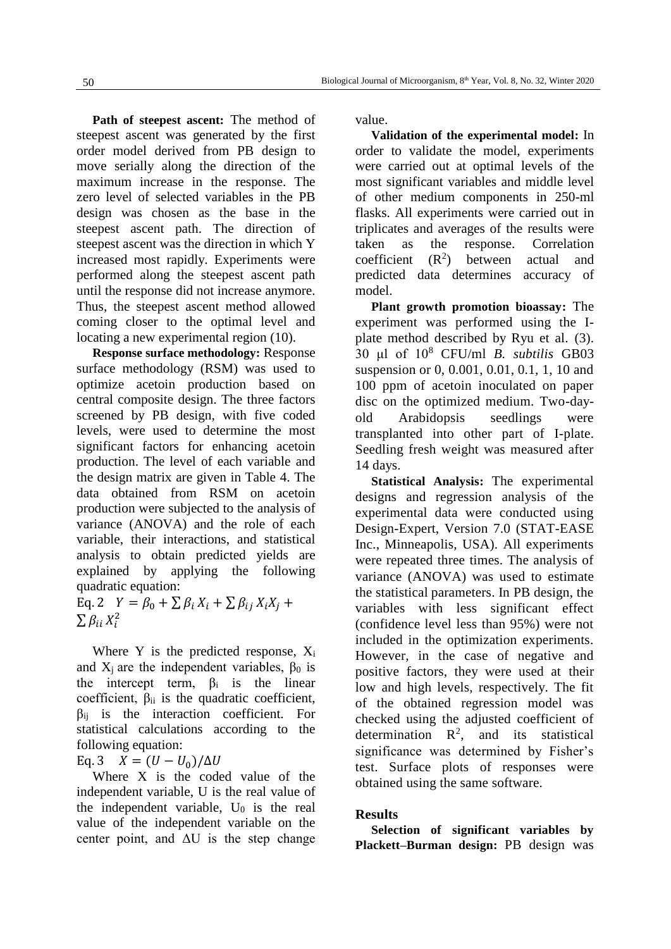**Path of steepest ascent:** The method of steepest ascent was generated by the first order model derived from PB design to move serially along the direction of the maximum increase in the response. The zero level of selected variables in the PB design was chosen as the base in the steepest ascent path. The direction of steepest ascent was the direction in which Y increased most rapidly. Experiments were performed along the steepest ascent path until the response did not increase anymore. Thus, the steepest ascent method allowed coming closer to the optimal level and locating a new experimental region [\(10\)](file:///D:/University/Safhe%20araei/Microorganism/60/BJM-1804-1120%20ویراستاری%20شده%20(1).docx%23_ENREF_10).

**Response surface methodology:** Response surface methodology (RSM) was used to optimize acetoin production based on central composite design. The three factors screened by PB design, with five coded levels, were used to determine the most significant factors for enhancing acetoin production. The level of each variable and the design matrix are given in Table 4. The data obtained from RSM on acetoin production were subjected to the analysis of variance (ANOVA) and the role of each variable, their interactions, and statistical analysis to obtain predicted yields are explained by applying the following quadratic equation:

Eq. 2  $Y = \beta_0 + \sum \beta_i X_i + \sum \beta_{ij} X_i X_j +$  $\sum \beta_{ii} X_i^2$ 

Where Y is the predicted response,  $X_i$ and  $X_i$  are the independent variables,  $\beta_0$  is the intercept term,  $\beta_i$  is the linear coefficient,  $\beta_{ii}$  is the quadratic coefficient,  $\beta_{ii}$  is the interaction coefficient. For statistical calculations according to the following equation:

Eq. 3  $X = (U - U_0)/\Delta U$ 

Where X is the coded value of the independent variable, U is the real value of the independent variable,  $U_0$  is the real value of the independent variable on the center point, and  $\Delta U$  is the step change

value.

**Validation of the experimental model:** In order to validate the model, experiments were carried out at optimal levels of the most significant variables and middle level of other medium components in 250-ml flasks. All experiments were carried out in triplicates and averages of the results were taken as the response. Correlation coefficient  $(R^2)$ ) between actual and predicted data determines accuracy of model.

**Plant growth promotion bioassay:** The experiment was performed using the Iplate method described by Ryu et al. [\(3\)](file:///D:/University/Safhe%20araei/Microorganism/60/BJM-1804-1120%20ویراستاری%20شده%20(1).docx%23_ENREF_3). 30 μl of 10<sup>8</sup> CFU/ml *B. subtilis* GB03 suspension or 0, 0.001, 0.01, 0.1, 1, 10 and 100 ppm of acetoin inoculated on paper disc on the optimized medium. Two-dayold Arabidopsis seedlings were transplanted into other part of I-plate. Seedling fresh weight was measured after 14 days.

**Statistical Analysis:** The experimental designs and regression analysis of the experimental data were conducted using Design-Expert, Version 7.0 (STAT-EASE Inc., Minneapolis, USA). All experiments were repeated three times. The analysis of variance (ANOVA) was used to estimate the statistical parameters. In PB design, the variables with less significant effect (confidence level less than 95%) were not included in the optimization experiments. However, in the case of negative and positive factors, they were used at their low and high levels, respectively. The fit of the obtained regression model was checked using the adjusted coefficient of determination  $\mathbb{R}^2$ , and its statistical significance was determined by Fisher's test. Surface plots of responses were obtained using the same software.

#### **Results**

**Selection of significant variables by Plackett–Burman design:** PB design was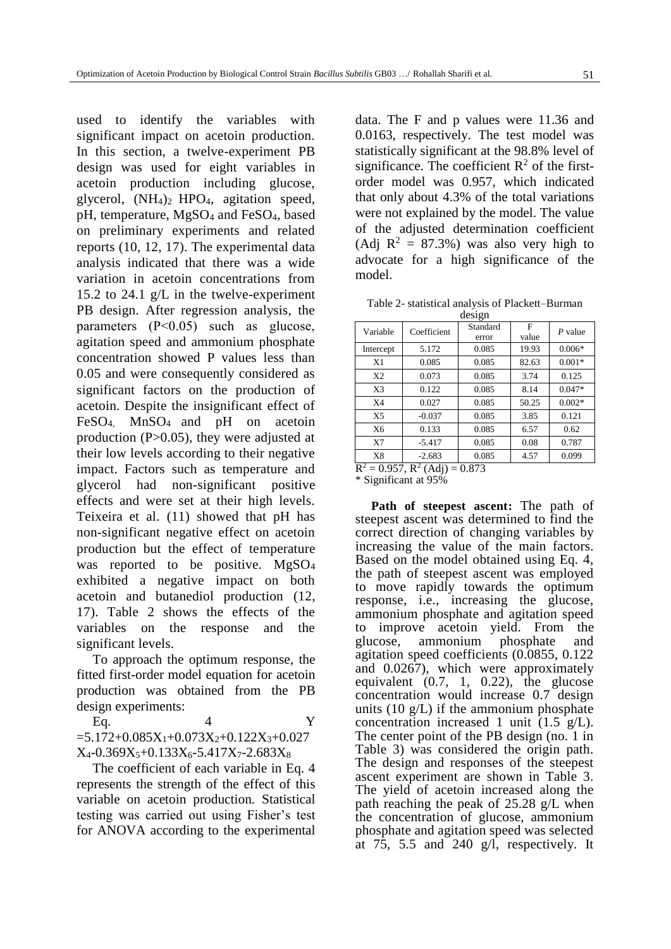used to identify the variables with significant impact on acetoin production. In this section, a twelve-experiment PB design was used for eight variables in acetoin production including glucose, glycerol, (NH4)2 HPO4, agitation speed, pH, temperature, MgSO<sup>4</sup> and FeSO4, based on preliminary experiments and related reports [\(10,](file:///D:/University/Safhe%20araei/Microorganism/60/BJM-1804-1120%20ویراستاری%20شده%20(1).docx%23_ENREF_10) [12,](file:///D:/University/Safhe%20araei/Microorganism/60/BJM-1804-1120%20ویراستاری%20شده%20(1).docx%23_ENREF_12) [17\)](file:///D:/University/Safhe%20araei/Microorganism/60/BJM-1804-1120%20ویراستاری%20شده%20(1).docx%23_ENREF_17). The experimental data analysis indicated that there was a wide variation in acetoin concentrations from 15.2 to 24.1 g/L in the twelve-experiment PB design. After regression analysis, the parameters (P˂0.05) such as glucose, agitation speed and ammonium phosphate concentration showed P values less than 0.05 and were consequently considered as significant factors on the production of acetoin. Despite the insignificant effect of FeSO4, MnSO4 and pH on acetoin production (P>0.05), they were adjusted at their low levels according to their negative impact. Factors such as temperature and glycerol had non-significant positive effects and were set at their high levels. Teixeira et al. [\(11\)](file:///D:/University/Safhe%20araei/Microorganism/60/BJM-1804-1120%20ویراستاری%20شده%20(1).docx%23_ENREF_11) showed that pH has non-significant negative effect on acetoin production but the effect of temperature was reported to be positive. MgSO<sub>4</sub> exhibited a negative impact on both acetoin and butanediol production [\(12,](file:///D:/University/Safhe%20araei/Microorganism/60/BJM-1804-1120%20ویراستاری%20شده%20(1).docx%23_ENREF_12) [17\)](file:///D:/University/Safhe%20araei/Microorganism/60/BJM-1804-1120%20ویراستاری%20شده%20(1).docx%23_ENREF_17). Table 2 shows the effects of the variables on the response and the significant levels.

To approach the optimum response, the fitted first-order model equation for acetoin production was obtained from the PB design experiments:

Eq.  $4$  Y  $=5.172+0.085X_1+0.073X_2+0.122X_3+0.027$  $X_4$ -0.369 $X_5$ +0.133 $X_6$ -5.417 $X_7$ -2.683 $X_8$ 

The coefficient of each variable in Eq. 4 represents the strength of the effect of this variable on acetoin production. Statistical testing was carried out using Fisher's test for ANOVA according to the experimental data. The F and p values were 11.36 and 0.0163, respectively. The test model was statistically significant at the 98.8% level of significance. The coefficient  $\mathbb{R}^2$  of the firstorder model was 0.957, which indicated that only about 4.3% of the total variations were not explained by the model. The value of the adjusted determination coefficient (Adj  $R^2 = 87.3\%$ ) was also very high to advocate for a high significance of the model.

|        | Table 2- statistical analysis of Plackett-Burman |
|--------|--------------------------------------------------|
| design |                                                  |

| Variable                                                  | Coefficient | Standard<br>error | F<br>value | P value  |  |  |  |
|-----------------------------------------------------------|-------------|-------------------|------------|----------|--|--|--|
| Intercept                                                 | 5.172       | 0.085             | 19.93      | $0.006*$ |  |  |  |
| X1                                                        | 0.085       | 0.085             | 82.63      | $0.001*$ |  |  |  |
| X <sub>2</sub>                                            | 0.073       | 0.085             | 3.74       | 0.125    |  |  |  |
| X <sub>3</sub>                                            | 0.122       | 0.085             | 8.14       | $0.047*$ |  |  |  |
| X <sub>4</sub>                                            | 0.027       | 0.085             | 50.25      | $0.002*$ |  |  |  |
| X <sub>5</sub>                                            | $-0.037$    | 0.085             | 3.85       | 0.121    |  |  |  |
| X6                                                        | 0.133       | 0.085             | 6.57       | 0.62     |  |  |  |
| X7                                                        | $-5.417$    | 0.085             | 0.08       | 0.787    |  |  |  |
| X8                                                        | $-2.683$    | 0.085             | 4.57       | 0.099    |  |  |  |
| $\overline{R^2} = 0.957$ , $\overline{R^2}$ (Adj) = 0.873 |             |                   |            |          |  |  |  |

\* Significant at 95%

**Path of steepest ascent:** The path of steepest ascent was determined to find the correct direction of changing variables by increasing the value of the main factors. Based on the model obtained using Eq. 4, the path of steepest ascent was employed to move rapidly towards the optimum response, i.e., increasing the glucose, ammonium phosphate and agitation speed to improve acetoin yield. From the glucose, ammonium phosphate and agitation speed coefficients (0.0855, 0.122 and 0.0267), which were approximately equivalent (0.7, 1, 0.22), the glucose concentration would increase 0.7 design units  $(10 \text{ g/L})$  if the ammonium phosphate concentration increased 1 unit  $(1.5 \text{ g/L})$ . The center point of the PB design (no. 1 in Table 3) was considered the origin path. The design and responses of the steepest ascent experiment are shown in Table 3. The yield of acetoin increased along the path reaching the peak of 25.28 g/L when the concentration of glucose, ammonium phosphate and agitation speed was selected at 75, 5.5 and 240 g/l, respectively. It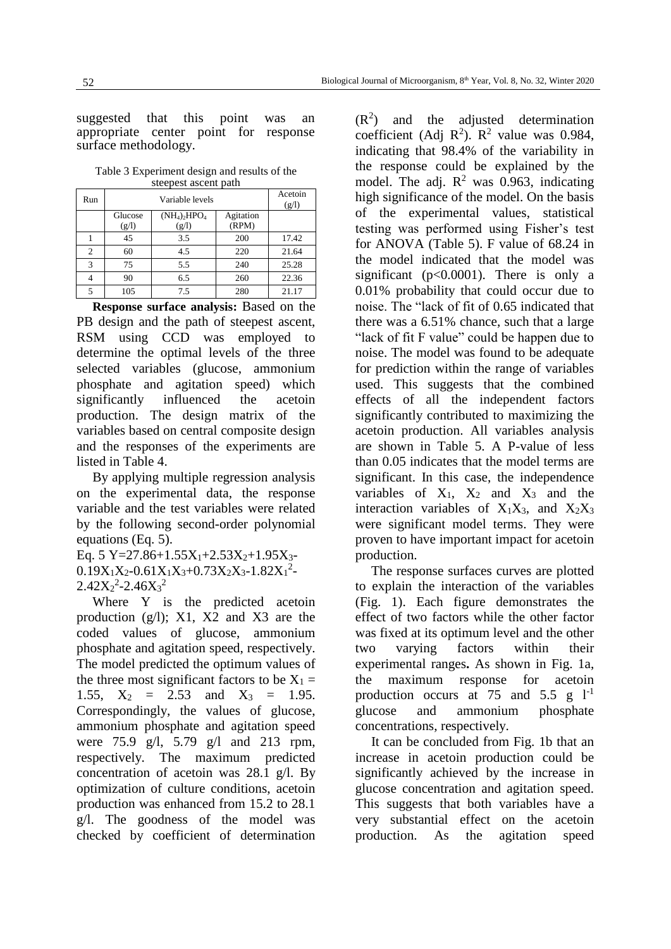suggested that this point was an appropriate center point for response surface methodology.

Table 3 Experiment design and results of the steepest ascent path

| Run            |                  | Acetoin<br>(g/l)                                |                    |       |
|----------------|------------------|-------------------------------------------------|--------------------|-------|
|                | Glucose<br>(g/l) | $(NH_4)$ <sub>2</sub> HPO <sub>4</sub><br>(g/l) | Agitation<br>(RPM) |       |
|                | 45               | 3.5                                             | 200                | 17.42 |
| $\overline{c}$ | 60               | 4.5                                             | 220                | 21.64 |
| 3              | 75               | 5.5                                             | 240                | 25.28 |
|                | 90               | 6.5                                             | 260                | 22.36 |
| ς              | 105              | 7.5                                             | 280                | 21.17 |

**Response surface analysis:** Based on the PB design and the path of steepest ascent, RSM using CCD was employed to determine the optimal levels of the three selected variables (glucose, ammonium phosphate and agitation speed) which significantly influenced the acetoin production. The design matrix of the variables based on central composite design and the responses of the experiments are listed in Table 4.

By applying multiple regression analysis on the experimental data, the response variable and the test variables were related by the following second-order polynomial equations (Eq. 5).

Eq. 5 Y=27.86+1.55 $X_1$ +2.53 $X_2$ +1.95 $X_3$ - $0.19X_1X_2 - 0.61X_1X_3 + 0.73X_2X_3 - 1.82X_1^2$  $2.42X_2^2 - 2.46X_3^2$ 

Where Y is the predicted acetoin production (g/l); X1, X2 and X3 are the coded values of glucose, ammonium phosphate and agitation speed, respectively. The model predicted the optimum values of the three most significant factors to be  $X_1 =$ 1.55,  $X_2 = 2.53$  and  $X_3 = 1.95$ . Correspondingly, the values of glucose, ammonium phosphate and agitation speed were 75.9 g/l, 5.79 g/l and 213 rpm, respectively. The maximum predicted concentration of acetoin was 28.1 g/l. By optimization of culture conditions, acetoin production was enhanced from 15.2 to 28.1 g/l. The goodness of the model was checked by coefficient of determination

 $(R<sup>2</sup>)$  and the adjusted determination coefficient (Adj  $\mathbb{R}^2$ ).  $\mathbb{R}^2$  value was 0.984, indicating that 98.4% of the variability in the response could be explained by the model. The adj.  $R^2$  was 0.963, indicating high significance of the model. On the basis of the experimental values, statistical testing was performed using Fisher's test for ANOVA (Table 5). F value of 68.24 in the model indicated that the model was significant (p<0.0001). There is only a 0.01% probability that could occur due to noise. The "lack of fit of 0.65 indicated that there was a 6.51% chance, such that a large "lack of fit F value" could be happen due to noise. The model was found to be adequate for prediction within the range of variables used. This suggests that the combined effects of all the independent factors significantly contributed to maximizing the acetoin production. All variables analysis are shown in Table 5. A P-value of less than 0.05 indicates that the model terms are significant. In this case, the independence variables of  $X_1$ ,  $X_2$  and  $X_3$  and the interaction variables of  $X_1X_3$ , and  $X_2X_3$ were significant model terms. They were proven to have important impact for acetoin production.

The response surfaces curves are plotted to explain the interaction of the variables (Fig. 1). Each figure demonstrates the effect of two factors while the other factor was fixed at its optimum level and the other two varying factors within their experimental ranges**.** As shown in Fig. 1a, the maximum response for acetoin production occurs at 75 and 5.5 g  $1^{-1}$ glucose and ammonium phosphate concentrations, respectively.

It can be concluded from Fig. 1b that an increase in acetoin production could be significantly achieved by the increase in glucose concentration and agitation speed. This suggests that both variables have a very substantial effect on the acetoin production. As the agitation speed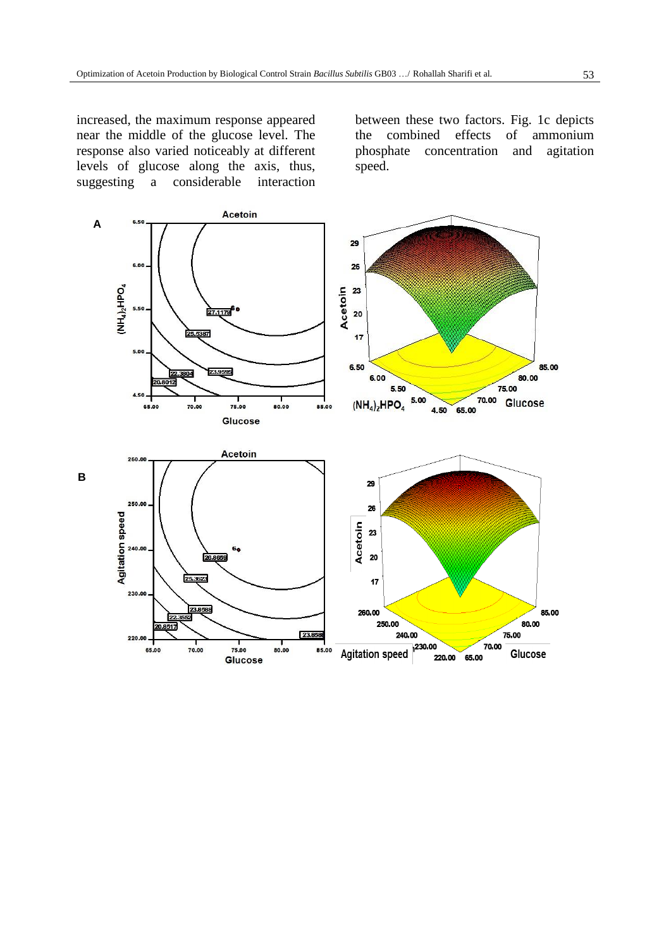increased, the maximum response appeared near the middle of the glucose level. The response also varied noticeably at different levels of glucose along the axis, thus,  $suggesting$  a considerable

between these two factors. Fig. 1c depicts the combined effects of ammonium phosphate concentration and agitation speed.

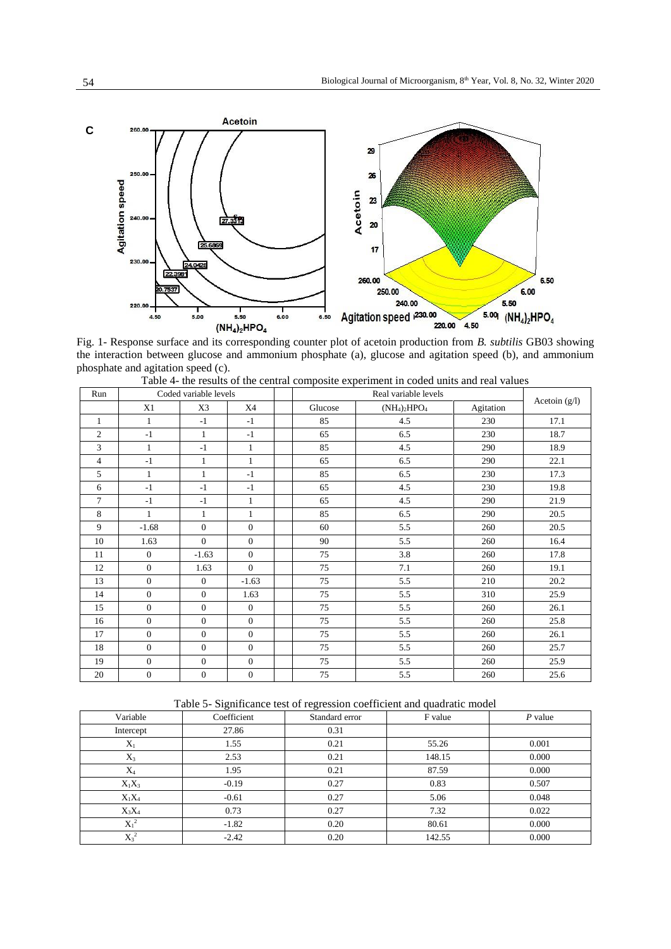

Fig. 1- Response surface and its corresponding counter plot of acetoin production from *B. subtilis* GB03 showing the interaction between glucose and ammonium phosphate (a), glucose and agitation speed (b), and ammonium phosphate and agitation speed (c).

| Run            | Coded variable levels |                  |                |         |                 |           |               |
|----------------|-----------------------|------------------|----------------|---------|-----------------|-----------|---------------|
|                | X1                    | X3               | X4             | Glucose | $(NH_4)_2HPO_4$ | Agitation | Acetoin (g/l) |
| $\mathbf{1}$   | $\mathbf{1}$          | $-1$             | $-1$           | 85      | 4.5             | 230       | 17.1          |
| $\mathfrak{2}$ | $-1$                  | $\mathbf{1}$     | $-1$           | 65      | 6.5             | 230       | 18.7          |
| 3              | $\mathbf{1}$          | $-1$             | 1              | 85      | 4.5             | 290       | 18.9          |
| $\overline{4}$ | $-1$                  | $\mathbf{1}$     | 1              | 65      | 6.5             | 290       | 22.1          |
| 5              | $\mathbf{1}$          | $\mathbf{1}$     | $-1$           | 85      | 6.5             | 230       | 17.3          |
| 6              | $-1$                  | $-1$             | $-1$           | 65      | 4.5             | 230       | 19.8          |
| $\overline{7}$ | $-1$                  | $-1$             | 1              | 65      | 4.5             | 290       | 21.9          |
| 8              | $\mathbf{1}$          | $\mathbf{1}$     | $\mathbf{1}$   | 85      | 6.5             | 290       | 20.5          |
| 9              | $-1.68$               | $\overline{0}$   | $\mathbf{0}$   | 60      | 5.5             | 260       | 20.5          |
| 10             | 1.63                  | $\Omega$         | $\mathbf{0}$   | 90      | 5.5             | 260       | 16.4          |
| 11             | $\boldsymbol{0}$      | $-1.63$          | $\mathbf{0}$   | 75      | 3.8             | 260       | 17.8          |
| 12             | $\overline{0}$        | 1.63             | $\overline{0}$ | 75      | 7.1             | 260       | 19.1          |
| 13             | $\boldsymbol{0}$      | $\boldsymbol{0}$ | $-1.63$        | 75      | 5.5             | 210       | 20.2          |
| 14             | $\boldsymbol{0}$      | $\overline{0}$   | 1.63           | 75      | 5.5             | 310       | 25.9          |
| 15             | $\overline{0}$        | $\overline{0}$   | $\mathbf{0}$   | 75      | 5.5             | 260       | 26.1          |
| 16             | $\boldsymbol{0}$      | $\boldsymbol{0}$ | $\mathbf{0}$   | 75      | 5.5             | 260       | 25.8          |
| 17             | $\overline{0}$        | $\overline{0}$   | $\Omega$       | 75      | 5.5             | 260       | 26.1          |
| 18             | $\overline{0}$        | $\overline{0}$   | $\mathbf{0}$   | 75      | 5.5             | 260       | 25.7          |
| 19             | $\boldsymbol{0}$      | $\overline{0}$   | $\mathbf{0}$   | 75      | 5.5             | 260       | 25.9          |
| 20             | $\boldsymbol{0}$      | $\boldsymbol{0}$ | $\mathbf{0}$   | 75      | 5.5             | 260       | 25.6          |

Table 4- the results of the central composite experiment in coded units and real values

Table 5- Significance test of regression coefficient and quadratic model

|           | $\tilde{}$  |                | $\overline{\phantom{a}}$ |           |
|-----------|-------------|----------------|--------------------------|-----------|
| Variable  | Coefficient | Standard error | F value                  | $P$ value |
| Intercept | 27.86       | 0.31           |                          |           |
| $X_1$     | 1.55        | 0.21           | 55.26                    | 0.001     |
| $X_3$     | 2.53        | 0.21           | 148.15                   | 0.000     |
| $X_4$     | 1.95        | 0.21           | 87.59                    | 0.000     |
| $X_1X_3$  | $-0.19$     | 0.27           | 0.83                     | 0.507     |
| $X_1X_4$  | $-0.61$     | 0.27           | 5.06                     | 0.048     |
| $X_3X_4$  | 0.73        | 0.27           | 7.32                     | 0.022     |
| $X_1^2$   | $-1.82$     | 0.20           | 80.61                    | 0.000     |
| $X_3^2$   | $-2.42$     | 0.20           | 142.55                   | 0.000     |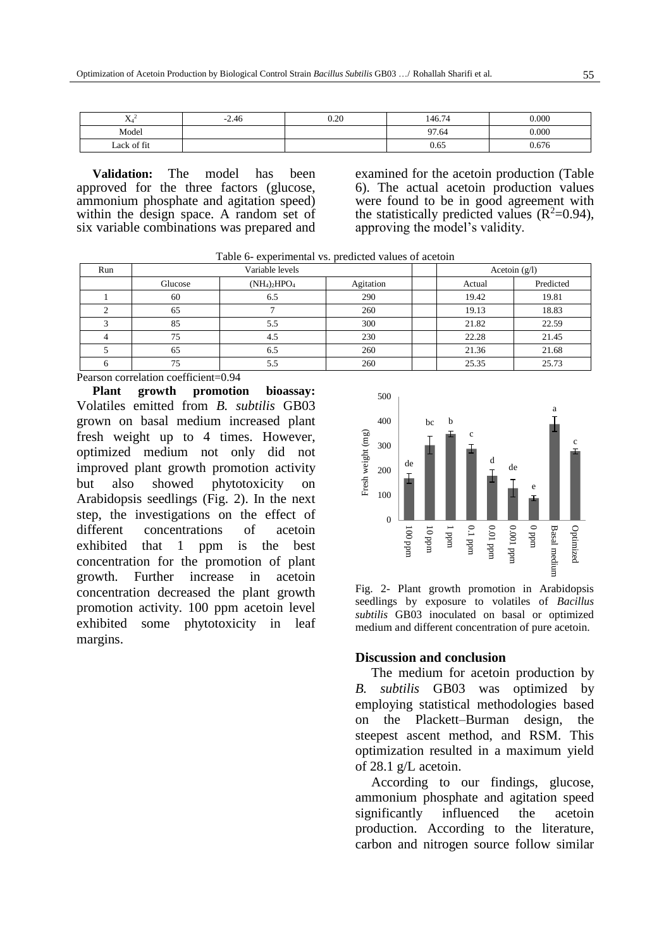| <b>**</b><br>484 | $-2.46$ | 0.20 | 146.74 | 0.000 |
|------------------|---------|------|--------|-------|
| Model            |         |      | 97.64  | 0.000 |
| Lack of fit      |         |      | 0.65   | 0.676 |

**Validation:** The model has been approved for the three factors (glucose, ammonium phosphate and agitation speed) within the design space. A random set of six variable combinations was prepared and examined for the acetoin production (Table 6). The actual acetoin production values were found to be in good agreement with the statistically predicted values  $(R^2=0.94)$ , approving the model's validity.

| Run |         | Variable levels | Acetoin $(g/l)$ |        |           |
|-----|---------|-----------------|-----------------|--------|-----------|
|     | Glucose | $(NH_4)_2HPO_4$ |                 | Actual | Predicted |
|     | 60      | 6.5             | 290             | 19.42  | 19.81     |
|     | 65      |                 | 260             | 19.13  | 18.83     |
|     | 85      | 5.5             | 300             | 21.82  | 22.59     |
|     | 75      | 4.5             | 230             | 22.28  | 21.45     |
|     | 65      | 6.5             | 260             | 21.36  | 21.68     |
|     | 75      | 5.5             | 260             | 25.35  | 25.73     |

Pearson correlation coefficient=0.94

**Plant growth promotion bioassay:**  Volatiles emitted from *B. subtilis* GB03 grown on basal medium increased plant fresh weight up to 4 times. However, optimized medium not only did not improved plant growth promotion activity but also showed phytotoxicity on Arabidopsis seedlings (Fig. 2). In the next step, the investigations on the effect of different concentrations of acetoin exhibited that 1 ppm is the best concentration for the promotion of plant growth. Further increase in acetoin concentration decreased the plant growth promotion activity. 100 ppm acetoin level exhibited some phytotoxicity in leaf margins.



Fig. 2- Plant growth promotion in Arabidopsis seedlings by exposure to volatiles of *Bacillus subtilis* GB03 inoculated on basal or optimized medium and different concentration of pure acetoin.

#### **Discussion and conclusion**

The medium for acetoin production by *B. subtilis* GB03 was optimized by employing statistical methodologies based on the Plackett–Burman design, the steepest ascent method, and RSM. This optimization resulted in a maximum yield of 28.1 g/L acetoin.

According to our findings, glucose, ammonium phosphate and agitation speed significantly influenced the acetoin production. According to the literature, carbon and nitrogen source follow similar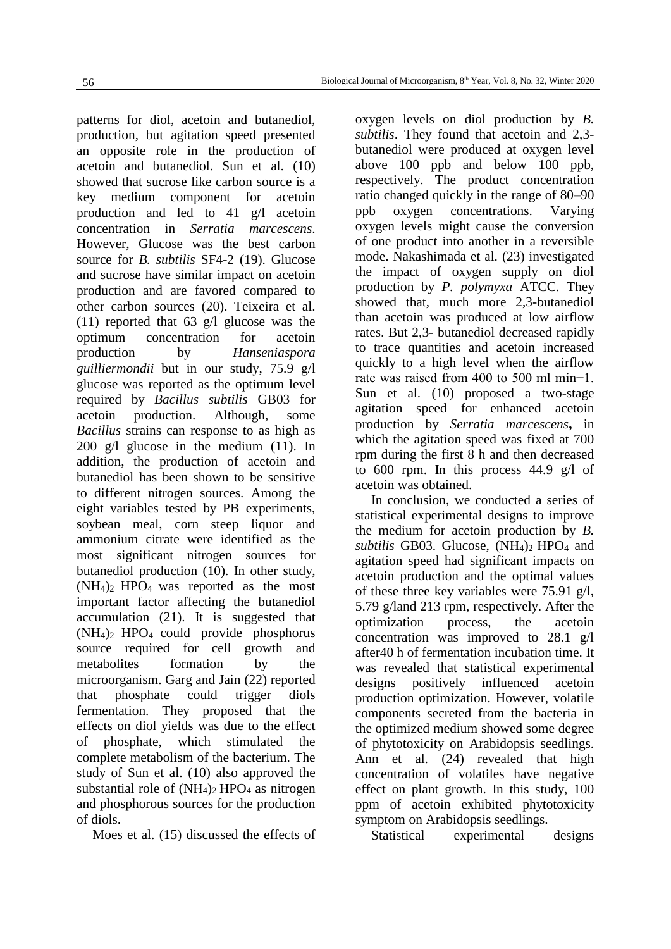patterns for diol, acetoin and butanediol, production, but agitation speed presented an opposite role in the production of acetoin and butanediol. Sun et al. [\(10\)](file:///D:/University/Safhe%20araei/Microorganism/60/BJM-1804-1120%20ویراستاری%20شده%20(1).docx%23_ENREF_10) showed that sucrose like carbon source is a key medium component for acetoin production and led to 41 g/l acetoin concentration in *Serratia marcescens*. However, Glucose was the best carbon source for *B. subtilis* SF4-2 [\(19\)](file:///D:/University/Safhe%20araei/Microorganism/60/BJM-1804-1120%20ویراستاری%20شده%20(1).docx%23_ENREF_19). Glucose and sucrose have similar impact on acetoin production and are favored compared to other carbon sources [\(20\)](file:///D:/University/Safhe%20araei/Microorganism/60/BJM-1804-1120%20ویراستاری%20شده%20(1).docx%23_ENREF_20). Teixeira et al. [\(11\)](file:///D:/University/Safhe%20araei/Microorganism/60/BJM-1804-1120%20ویراستاری%20شده%20(1).docx%23_ENREF_11) reported that 63 g/l glucose was the optimum concentration for acetoin production by *Hanseniaspora guilliermondii* but in our study, 75.9 g/l glucose was reported as the optimum level required by *Bacillus subtilis* GB03 for acetoin production. Although, some *Bacillus* strains can response to as high as 200 g/l glucose in the medium [\(11\)](file:///D:/University/Safhe%20araei/Microorganism/60/BJM-1804-1120%20ویراستاری%20شده%20(1).docx%23_ENREF_11). In addition, the production of acetoin and butanediol has been shown to be sensitive to different nitrogen sources. Among the eight variables tested by PB experiments, soybean meal, corn steep liquor and ammonium citrate were identified as the most significant nitrogen sources for butanediol production [\(10\)](file:///D:/University/Safhe%20araei/Microorganism/60/BJM-1804-1120%20ویراستاری%20شده%20(1).docx%23_ENREF_10). In other study,  $(NH_4)$ <sub>2</sub> HPO<sub>4</sub> was reported as the most important factor affecting the butanediol accumulation [\(21\)](file:///D:/University/Safhe%20araei/Microorganism/60/BJM-1804-1120%20ویراستاری%20شده%20(1).docx%23_ENREF_21). It is suggested that (NH4)2 HPO4 could provide phosphorus source required for cell growth and metabolites formation by the microorganism. Garg and Jain [\(22\)](file:///D:/University/Safhe%20araei/Microorganism/60/BJM-1804-1120%20ویراستاری%20شده%20(1).docx%23_ENREF_22) reported that phosphate could trigger diols fermentation. They proposed that the effects on diol yields was due to the effect of phosphate, which stimulated the complete metabolism of the bacterium. The study of Sun et al. [\(10\)](file:///D:/University/Safhe%20araei/Microorganism/60/BJM-1804-1120%20ویراستاری%20شده%20(1).docx%23_ENREF_10) also approved the substantial role of  $(NH<sub>4</sub>)<sub>2</sub> HPO<sub>4</sub>$  as nitrogen and phosphorous sources for the production of diols.

Moes et al. [\(15\)](file:///D:/University/Safhe%20araei/Microorganism/60/BJM-1804-1120%20ویراستاری%20شده%20(1).docx%23_ENREF_15) discussed the effects of

oxygen levels on diol production by *B. subtilis*. They found that acetoin and 2,3 butanediol were produced at oxygen level above 100 ppb and below 100 ppb, respectively. The product concentration ratio changed quickly in the range of 80–90 ppb oxygen concentrations. Varying oxygen levels might cause the conversion of one product into another in a reversible mode. Nakashimada et al. [\(23\)](file:///D:/University/Safhe%20araei/Microorganism/60/BJM-1804-1120%20ویراستاری%20شده%20(1).docx%23_ENREF_23) investigated the impact of oxygen supply on diol production by *P. polymyxa* ATCC. They showed that, much more 2,3-butanediol than acetoin was produced at low airflow rates. But 2,3- butanediol decreased rapidly to trace quantities and acetoin increased quickly to a high level when the airflow rate was raised from 400 to 500 ml min−1. Sun et al. [\(10\)](file:///D:/University/Safhe%20araei/Microorganism/60/BJM-1804-1120%20ویراستاری%20شده%20(1).docx%23_ENREF_10) proposed a two-stage agitation speed for enhanced acetoin production by *Serratia marcescens***,** in which the agitation speed was fixed at 700 rpm during the first 8 h and then decreased to 600 rpm. In this process 44.9 g/l of acetoin was obtained.

In conclusion, we conducted a series of statistical experimental designs to improve the medium for acetoin production by *B.*  subtilis GB03. Glucose, (NH<sub>4</sub>)<sub>2</sub> HPO<sub>4</sub> and agitation speed had significant impacts on acetoin production and the optimal values of these three key variables were 75.91 g/l, 5.79 g/land 213 rpm, respectively. After the optimization process, the acetoin concentration was improved to 28.1 g/l after40 h of fermentation incubation time. It was revealed that statistical experimental designs positively influenced acetoin production optimization. However, volatile components secreted from the bacteria in the optimized medium showed some degree of phytotoxicity on Arabidopsis seedlings. Ann et al. [\(24\)](file:///D:/University/Safhe%20araei/Microorganism/60/BJM-1804-1120%20ویراستاری%20شده%20(1).docx%23_ENREF_24) revealed that high concentration of volatiles have negative effect on plant growth. In this study, 100 ppm of acetoin exhibited phytotoxicity symptom on Arabidopsis seedlings.

Statistical experimental designs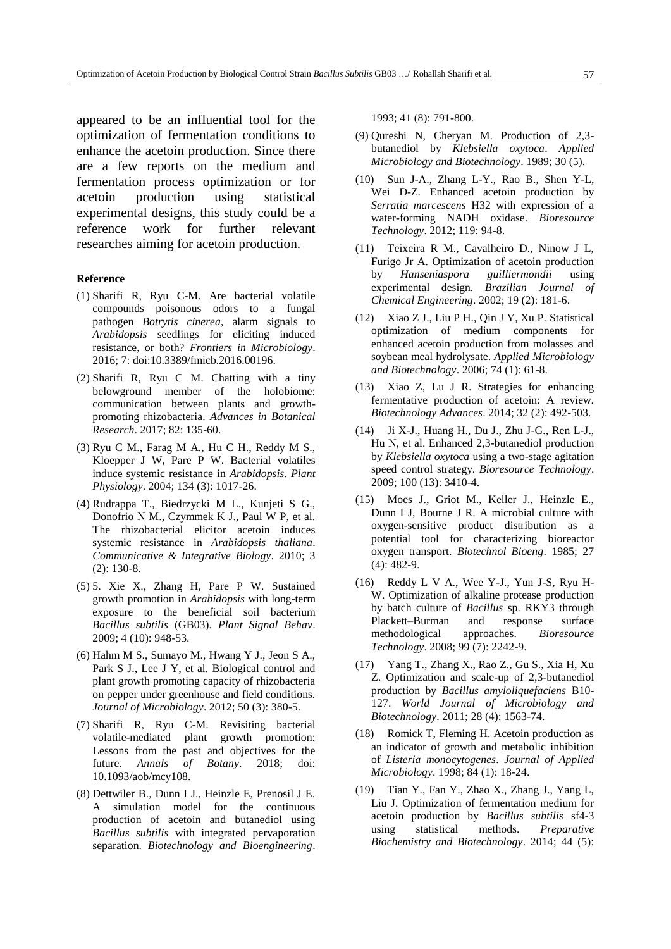appeared to be an influential tool for the optimization of fermentation conditions to enhance the acetoin production. Since there are a few reports on the medium and fermentation process optimization or for acetoin production using statistical experimental designs, this study could be a reference work for further relevant researches aiming for acetoin production.

#### **Reference**

- (1) Sharifi R, Ryu C-M. Are bacterial volatile compounds poisonous odors to a fungal pathogen *Botrytis cinerea*, alarm signals to *Arabidopsis* seedlings for eliciting induced resistance, or both? *Frontiers in Microbiology*. 2016; 7: doi:10.3389/fmicb.2016.00196.
- (2) Sharifi R, Ryu C M. Chatting with a tiny belowground member of the holobiome: communication between plants and growthpromoting rhizobacteria. *Advances in Botanical Research*. 2017; 82: 135-60.
- (3) Ryu C M., Farag M A., Hu C H., Reddy M S., Kloepper J W, Pare P W. Bacterial volatiles induce systemic resistance in *Arabidopsis*. *Plant Physiology*. 2004; 134 (3): 1017-26.
- (4) Rudrappa T., Biedrzycki M L., Kunjeti S G., Donofrio N M., Czymmek K J., Paul W P, et al. The rhizobacterial elicitor acetoin induces systemic resistance in *Arabidopsis thaliana*. *Communicative & Integrative Biology*. 2010; 3 (2): 130-8.
- (5) 5. Xie X., Zhang H, Pare P W. Sustained growth promotion in *Arabidopsis* with long-term exposure to the beneficial soil bacterium *Bacillus subtilis* (GB03). *Plant Signal Behav*. 2009; 4 (10): 948-53.
- (6) Hahm M S., Sumayo M., Hwang Y J., Jeon S A., Park S J., Lee J Y, et al. Biological control and plant growth promoting capacity of rhizobacteria on pepper under greenhouse and field conditions. *Journal of Microbiology*. 2012; 50 (3): 380-5.
- (7) Sharifi R, Ryu C-M. Revisiting bacterial volatile-mediated plant growth promotion: Lessons from the past and objectives for the future. *Annals of Botany*. 2018; doi: 10.1093/aob/mcy108.
- (8) Dettwiler B., Dunn I J., Heinzle E, Prenosil J E. A simulation model for the continuous production of acetoin and butanediol using *Bacillus subtilis* with integrated pervaporation separation. *Biotechnology and Bioengineering*.

1993; 41 (8): 791-800.

- (9) Qureshi N, Cheryan M. Production of 2,3 butanediol by *Klebsiella oxytoca*. *Applied Microbiology and Biotechnology*. 1989; 30 (5).
- (10) Sun J-A., Zhang L-Y., Rao B., Shen Y-L, Wei D-Z. Enhanced acetoin production by *Serratia marcescens* H32 with expression of a water-forming NADH oxidase. *Bioresource Technology*. 2012; 119: 94-8.
- (11) Teixeira R M., Cavalheiro D., Ninow J L, Furigo Jr A. Optimization of acetoin production by *Hanseniaspora guilliermondii* using experimental design. *Brazilian Journal of Chemical Engineering*. 2002; 19 (2): 181-6.
- (12) Xiao Z J., Liu P H., Qin J Y, Xu P. Statistical optimization of medium components for enhanced acetoin production from molasses and soybean meal hydrolysate. *Applied Microbiology and Biotechnology*. 2006; 74 (1): 61-8.
- (13) Xiao Z, Lu J R. Strategies for enhancing fermentative production of acetoin: A review. *Biotechnology Advances*. 2014; 32 (2): 492-503.
- (14) Ji X-J., Huang H., Du J., Zhu J-G., Ren L-J., Hu N, et al. Enhanced 2,3-butanediol production by *Klebsiella oxytoca* using a two-stage agitation speed control strategy. *Bioresource Technology*. 2009; 100 (13): 3410-4.
- (15) Moes J., Griot M., Keller J., Heinzle E., Dunn I J, Bourne J R. A microbial culture with oxygen-sensitive product distribution as a potential tool for characterizing bioreactor oxygen transport. *Biotechnol Bioeng*. 1985; 27 (4): 482-9.
- (16) Reddy L V A., Wee Y-J., Yun J-S, Ryu H-W. Optimization of alkaline protease production by batch culture of *Bacillus* sp. RKY3 through Plackett–Burman and response surface methodological approaches. *Bioresource Technology*. 2008; 99 (7): 2242-9.
- (17) Yang T., Zhang X., Rao Z., Gu S., Xia H, Xu Z. Optimization and scale-up of 2,3-butanediol production by *Bacillus amyloliquefaciens* B10- 127. *World Journal of Microbiology and Biotechnology*. 2011; 28 (4): 1563-74.
- (18) Romick T, Fleming H. Acetoin production as an indicator of growth and metabolic inhibition of *Listeria monocytogenes*. *Journal of Applied Microbiology*. 1998; 84 (1): 18-24.
- (19) Tian Y., Fan Y., Zhao X., Zhang J., Yang L, Liu J. Optimization of fermentation medium for acetoin production by *Bacillus subtilis* sf4-3 using statistical methods. *Preparative Biochemistry and Biotechnology*. 2014; 44 (5):